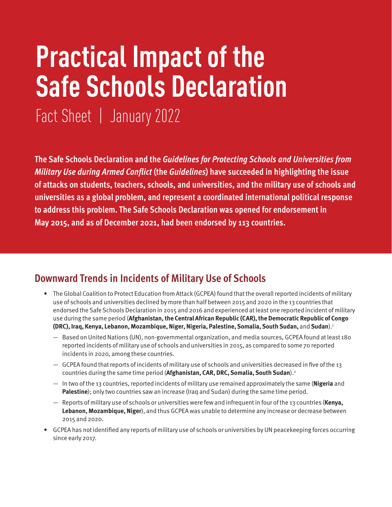# **Practical Impact of the Safe Schools Declaration**

Fact Sheet | January 2022

**The Safe Schools Declaration and the** *Guidelines for Protecting Schools and Universities from Military Use during Armed Conflict* **(the** *Guidelines***) have succeeded in highlighting the issue of attacks on students, teachers, schools, and universities, and the military use of schools and universities as a global problem, and represent a coordinated international political response to address this problem. The Safe Schools Declaration was opened for endorsement in May 2015, and as of December 2021, had been endorsed by 113 countries.** 

#### **Downward Trends in Incidents of Military Use of Schools**

- The Global Coalition to Protect Education from Attack (GCPEA) found that the overall reported incidents of military use of schools and universities declined by more than half between 2015 and 2020 in the 13 countries that endorsed the Safe Schools Declaration in 2015 and 2016 and experienced at least one reported incident of military use during the same period (**Afghanistan, the Central African Republic (CAR), the Democratic Republic of Congo (DRC), Iraq, Kenya, Lebanon, Mozambique, Niger, Nigeria, Palestine, Somalia, South Sudan,** and **Sudan**).1
	- Based on United Nations (UN), non-governmental organization, and media sources, GCPEA found at least 180 reported incidents of military use of schools and universities in 2015, as compared to some 70 reported incidents in 2020, among these countries.
	- GCPEA found that reports of incidents of military use of schools and universities decreased in five of the 13 countries during the same time period (**Afghanistan, CAR, DRC, Somalia, South Sudan**).2
	- In two of the 13 countries, reported incidents of military use remained approximately the same (**Nigeria** and **Palestine**); only two countries saw an increase (Iraq and Sudan) during the same time period.
	- Reports of military use of schools or universities were few and infrequent in four of the 13 countries (**Kenya, Lebanon, Mozambique, Niger**), and thus GCPEA was unable to determine any increase or decrease between 2015 and 2020.
- GCPEA has not identified any reports of military use of schools or universities by UN peacekeeping forces occurring since early 2017.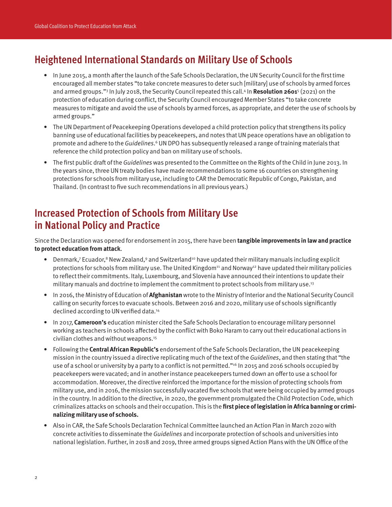## **Heightened International Standards on Military Use of Schools**

- In June 2015, a month after the launch of the Safe Schools Declaration, the UN Security Council for the first time encouraged all member states "to take concrete measures to deter such [military] use of schools by armed forces and armed groups."3 In July 2018, the Security Council repeated this call.4 In **Resolution 2601**<sup>5</sup> (2021) on the protection of education during conflict, the Security Council encouraged Member States "to take concrete measures to mitigate and avoid the use of schools by armed forces, as appropriate, and deter the use of schools by armed groups."
- The UN Department of Peacekeeping Operations developed a child protection policy that strengthens its policy banning use of educational facilities by peacekeepers, and notes that UN peace operations have an obligation to promote and adhere to the Guidelines.<sup>6</sup> UN DPO has subsequently released a range of training materials that reference the child protection policy and ban on military use of schools.
- The first public draft of the Guidelines was presented to the Committee on the Rights of the Child in June 2013. In the years since, three UN treaty bodies have made recommendations to some 16 countries on strengthening protections for schools from military use, including to CAR the Democratic Republic of Congo, Pakistan, and Thailand. (In contrast to five such recommendations in all previous years.)

### **Increased Protection of Schools from Military Use in National Policy and Practice**

Since the Declaration was opened for endorsement in 2015, there have been **tangible improvements in law and practice to protect education from attack**.

- Denmark,7 Ecuador,8 New Zealand,9 and Switzerland<sup>10</sup> have updated their military manuals including explicit protections for schools from military use. The United Kingdom<sup>11</sup> and Norway<sup>12</sup> have updated their military policies to reflect their commitments. Italy, Luxembourg, and Slovenia have announced their intentions to update their military manuals and doctrine to implement the commitment to protect schools from military use.13
- In 2016, the Ministry of Education of **Afghanistan** wrote to the Ministry of Interior and the National Security Council calling on security forces to evacuate schools. Between 2016 and 2020, military use of schools significantly declined according to UN verified data.14
- In 2017, **Cameroon's** education minister cited the Safe Schools Declaration to encourage military personnel working as teachers in schools affected by the conflict with Boko Haram to carry out their educational actions in civilian clothes and without weapons.15
- Following the **Central African Republic's** endorsement of the Safe Schools Declaration, the UN peacekeeping mission in the country issued a directive replicating much of the text of the *Guidelines*, and then stating that "the use of a school or university by a party to a conflict is not permitted."<sup>16</sup> In 2015 and 2016 schools occupied by peacekeepers were vacated; and in another instance peacekeepers turned down an offer to use a school for accommodation. Moreover, the directive reinforced the importance for the mission of protecting schools from military use, and in 2016, the mission successfully vacated five schools that were being occupied by armed groups in the country. In addition to the directive, in 2020, the government promulgated the Child Protection Code, which criminalizes attacks on schools and their occupation. This is the **first piece of legislation in Africa banning or criminalizing military use of schools.**
- Also in CAR, the Safe Schools Declaration Technical Committee launched an Action Plan in March 2020 with concrete activities to disseminate the Guidelines and incorporate protection of schools and universities into national legislation. Further, in 2018 and 2019, three armed groups signed Action Plans with the UN Office of the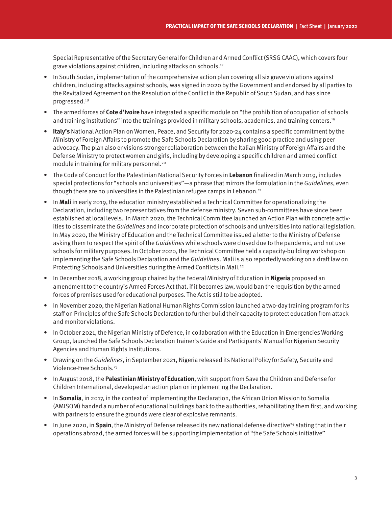Special Representative of the Secretary General for Children and Armed Conflict (SRSG CAAC), which covers four grave violations against children, including attacks on schools.17

- In South Sudan, implementation of the comprehensive action plan covering all six grave violations against children, including attacks against schools, was signed in 2020 by the Government and endorsed by all parties to the Revitalized Agreement on the Resolution of the Conflict in the Republic of South Sudan, and has since progressed.18
- The armed forces of **Cote d'Ivoire** have integrated a specific module on "the prohibition of occupation of schools and training institutions" into the trainings provided in military schools, academies, and training centers.19
- **Italy's** National Action Plan on Women, Peace, and Security for 2020-24 contains a specific commitment by the Ministry of Foreign Affairs to promote the Safe Schools Declaration by sharing good practice and using peer advocacy. The plan also envisions stronger collaboration between the Italian Ministry of Foreign Affairs and the Defense Ministry to protect women and girls, including by developing a specific children and armed conflict module in training for military personnel.20
- The Code of Conduct for the Palestinian National Security Forces in **Lebanon** finalized in March 2019, includes special protections for "schools and universities"—a phrase that mirrors the formulation in the Guidelines, even though there are no universities in the Palestinian refugee camps in Lebanon.<sup>21</sup>
- In **Mali** in early 2019, the education ministry established a Technical Committee for operationalizing the Declaration, including two representatives from the defense ministry. Seven sub-committees have since been established at local levels. In March 2020, the Technical Committee launched an Action Plan with concrete activities to disseminate the *Guidelines* and incorporate protection of schools and universities into national legislation. In May 2020, the Ministry of Education and the Technical Committee issued a letter to the Ministry of Defense asking them to respect the spirit of the Guidelines while schools were closed due to the pandemic, and not use schools for military purposes. In October 2020, the Technical Committee held a capacity-building workshop on implementing the Safe Schools Declaration and the Guidelines. Mali is also reportedly working on a draft law on Protecting Schools and Universities during the Armed Conflicts in Mali.<sup>22</sup>
- In December 2018, a working group chaired by the Federal Ministry of Education in **Nigeria** proposed an amendment to the country's Armed Forces Act that, if it becomes law, would ban the requisition by the armed forces of premises used for educational purposes. The Act is still to be adopted.
- In November 2020, the Nigerian National Human Rights Commission launched a two-day training program for its staff on Principles of the Safe Schools Declaration to further build their capacity to protect education from attack and monitor violations.
- In October 2021, the Nigerian Ministry of Defence, in collaboration with the Education in Emergencies Working Group, launched the Safe Schools Declaration Trainer's Guide and Participants' Manual for Nigerian Security Agencies and Human Rights Institutions.
- Drawing on the Guidelines, in September 2021, Nigeria released its National Policy for Safety, Security and Violence-Free Schools.<sup>23</sup>
- In August 2018, the **Palestinian Ministry of Education**, with support from Save the Children and Defense for Children International, developed an action plan on implementing the Declaration.
- In **Somalia**, in 2017, in the context of implementing the Declaration, the African Union Mission to Somalia (AMISOM) handed a number of educational buildings back to the authorities, rehabilitating them first, and working with partners to ensure the grounds were clear of explosive remnants.
- $\bullet$  In June 2020, in **Spain**, the Ministry of Defense released its new national defense directive<sup>24</sup> stating that in their operations abroad, the armed forces will be supporting implementation of "the Safe Schools initiative"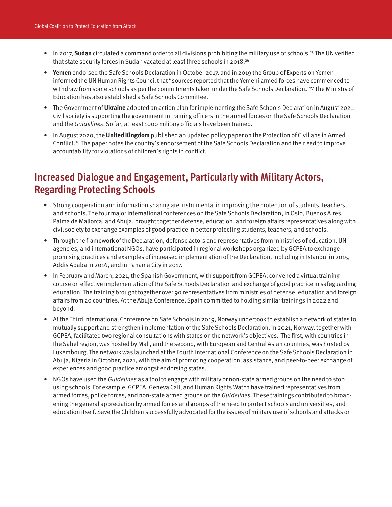- In 2017, **Sudan** circulated a command order to all divisions prohibiting the military use of schools.<sup>25</sup> The UN verified that state security forces in Sudan vacated at least three schools in 2018.26
- **Yemen** endorsed the Safe Schools Declaration in October 2017, and in 2019 the Group of Experts on Yemen informed the UN Human Rights Council that "sources reported that the Yemeni armed forces have commenced to withdraw from some schools as per the commitments taken under the Safe Schools Declaration."<sup>27</sup> The Ministry of Education has also established a Safe Schools Committee.
- The Government of **Ukraine** adopted an action plan for implementing the Safe Schools Declaration in August 2021. Civil society is supporting the government in training officers in the armed forces on the Safe Schools Declaration and the Guidelines. So far, at least 1000 military officials have been trained.
- In August 2020, the **United Kingdom** published an updated policy paper on the Protection of Civilians in Armed Conflict.28 The paper notes the country's endorsement of the Safe Schools Declaration and the need to improve accountability for violations of children's rights in conflict.

#### **Increased Dialogue and Engagement, Particularly with Military Actors, Regarding Protecting Schools**

- **•** Strong cooperation and information sharing are instrumental in improving the protection of students, teachers, and schools. The four major international conferences on the Safe Schools Declaration, in Oslo, Buenos Aires, Palma de Mallorca, and Abuja, brought together defense, education, and foreign affairs representatives along with civil society to exchange examples of good practice in better protecting students, teachers, and schools.
- Through the framework of the Declaration, defense actors and representatives from ministries of education, UN agencies, and international NGOs, have participated in regional workshops organized by GCPEA to exchange promising practices and examples of increased implementation of the Declaration, including in Istanbul in 2015, Addis Ababa in 2016, and in Panama City in 2017.
- In February and March, 2021, the Spanish Government, with support from GCPEA, convened a virtual training course on effective implementation of the Safe Schools Declaration and exchange of good practice in safeguarding education. The training brought together over 90 representatives from ministries of defense, education and foreign affairs from 20 countries. At the Abuja Conference, Spain committed to holding similar trainings in 2022 and beyond.
- At the Third International Conference on Safe Schools in 2019, Norway undertook to establish a network of states to mutually support and strengthen implementation of the Safe Schools Declaration. In 2021, Norway, together with GCPEA, facilitated two regional consultations with states on the network's objectives. The first, with countries in the Sahel region, was hosted by Mali, and the second, with European and Central Asian countries, was hosted by Luxembourg. The network was launched at the Fourth International Conference on the Safe Schools Declaration in Abuja, Nigeria in October, 2021, with the aim of promoting cooperation, assistance, and peer-to-peer exchange of experiences and good practice amongst endorsing states.
- NGOs have used the Guidelines as a tool to engage with military or non-state armed groups on the need to stop using schools. For example, GCPEA, Geneva Call, and Human Rights Watch have trained representatives from armed forces, police forces, and non-state armed groups on the Guidelines. These trainings contributed to broadening the general appreciation by armed forces and groups of the need to protect schools and universities, and education itself. Save the Children successfully advocated for the issues of military use of schools and attacks on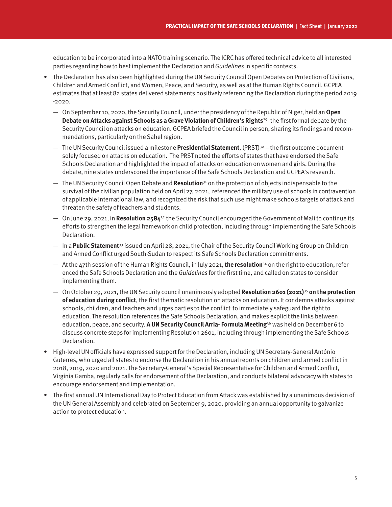education to be incorporated into a NATO training scenario. The ICRC has offered technical advice to all interested parties regarding how to best implement the Declaration and Guidelines in specific contexts.

- The Declaration has also been highlighted during the UN Security Council Open Debates on Protection of Civilians, Children and Armed Conflict, and Women, Peace, and Security, as well as at the Human Rights Council. GCPEA estimates that at least 82 states delivered statements positively referencing the Declaration during the period 2019 -2020.
	- On September 10, 2020, the Security Council, under the presidency of the Republic of Niger, held an **Open Debate on Attacks against Schools as a Grave Violation of Children's Rights**29- the first formal debate by the Security Council on attacks on education. GCPEA briefed the Council in person, sharing its findings and recommendations, particularly on the Sahel region.
	- The UN Security Council issued a milestone **Presidential Statement**, (PRST)30 the first outcome document solely focused on attacks on education. The PRST noted the efforts of states that have endorsed the Safe Schools Declaration and highlighted the impact of attacks on education on women and girls. During the debate, nine states underscored the importance of the Safe Schools Declaration and GCPEA's research.
	- The UN Security Council Open Debate and **Resolution**31 on the protection of objects indispensable to the survival of the civilian population held on April 27, 2021, referenced the military use of schools in contravention of applicable international law, and recognized the risk that such use might make schools targets of attack and threaten the safety of teachers and students.
	- On June 29, 2021, in **Resolution 2584**32 the Security Council encouraged the Government of Mali to continue its efforts to strengthen the legal framework on child protection, including through implementing the Safe Schools Declaration.
	- In a **Public Statement**33 issued on April 28, 2021, the Chair of the Security Council Working Group on Children and Armed Conflict urged South-Sudan to respect its Safe Schools Declaration commitments.
	- At the 47th session of the Human Rights Council, in July 2021, **the resolution**34 on the right to education, referenced the Safe Schools Declaration and the Guidelines for the first time, and called on states to consider implementing them.
	- On October 29, 2021, the UN Security council unanimously adopted **Resolution 2601 (2021)**<sup>35</sup> **on the protection of education during conflict**, the first thematic resolution on attacks on education. It condemns attacks against schools, children, and teachers and urges parties to the conflict to immediately safeguard the right to education. The resolution references the Safe Schools Declaration, and makes explicit the links between education, peace, and security. **A UN Security Council Arria- Formula Meeting**36 was held on December 6 to discuss concrete steps for implementing Resolution 2601, including through implementing the Safe Schools Declaration.
- High-level UN officials have expressed support for the Declaration, including UN Secretary-General António Guterres, who urged all states to endorse the Declaration in his annual reports on children and armed conflict in 2018, 2019, 2020 and 2021. The Secretary-General's Special Representative for Children and Armed Conflict, Virginia Gamba, regularly calls for endorsement of the Declaration, and conducts bilateral advocacy with states to encourage endorsement and implementation.
- The first annual UN International Day to Protect Education from Attack was established by a unanimous decision of the UN General Assembly and celebrated on September 9, 2020, providing an annual opportunity to galvanize action to protect education.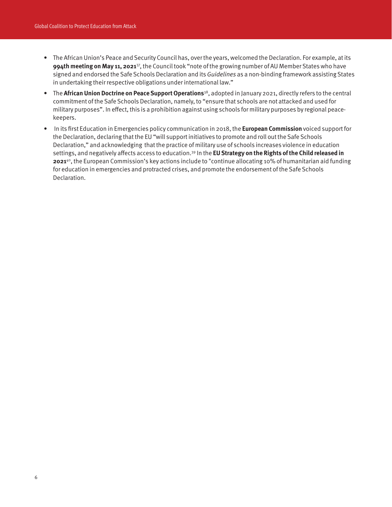- The African Union's Peace and Security Council has, over the years, welcomed the Declaration. For example, at its **994th meeting on May 11, 2021**37, the Council took "note of the growing number of AU Member States who have signed and endorsed the Safe Schools Declaration and its Guidelines as a non-binding framework assisting States in undertaking their respective obligations under international law."
- The **African Union Doctrine on Peace Support Operations**38, adopted in January 2021, directly refers to the central commitment of the Safe Schools Declaration, namely, to "ensure that schools are not attacked and used for military purposes". In effect, this is a prohibition against using schools for military purposes by regional peacekeepers.
- In its first Education in Emergencies policy communication in 2018, the **European Commission** voiced support for the Declaration, declaring that the EU "will support initiatives to promote and roll out the Safe Schools Declaration," and acknowledging that the practice of military use of schools increases violence in education settings, and negatively affects access to education.39 In the **EU Strategy on the Rights of the Child released in 2021**40, the European Commission's key actions include to "continue allocating 10% of humanitarian aid funding for education in emergencies and protracted crises, and promote the endorsement of the Safe Schools Declaration.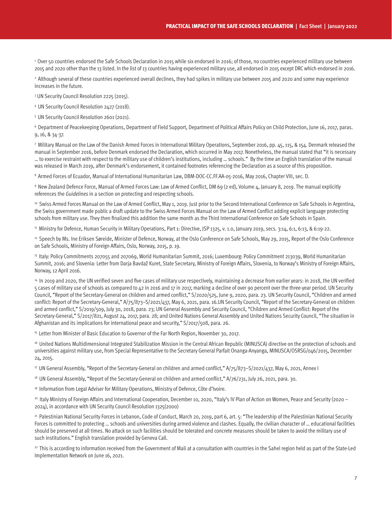1 Over 50 countries endorsed the Safe Schools Declaration in 2015 while six endorsed in 2016; of those, no countries experienced military use between 2015 and 2020 other than the 13 listed. In the list of 13 countries having experienced military use, all endorsed in 2015 except DRC which endorsed in 2016.

<sup>2</sup> Although several of these countries experienced overall declines, they had spikes in military use between 2015 and 2020 and some may experience increases in the future.

3 UN Security Council Resolution 2225 (2015).

4 UN Security Council Resolution 2427 (2018).

5 UN Security Council Resolution 2601 (2021).

6 Department of Peacekeeping Operations, Department of Field Support, Department of Political Affairs Policy on Child Protection, June 16, 2017, paras. 9, 16, & 34-37.

7 Military Manual on the Law of the Danish Armed Forces in International Military Operations, September 2016, pp. 45, 115, & 154. Denmark released the manual in September 2016, before Denmark endorsed the Declaration, which occurred in May 2017. Nonetheless, the manual stated that "it is necessary … to exercise restraint with respect to the military use of children's institutions, including … schools." By the time an English translation of the manual was released in March 2019, after Denmark's endorsement, it contained footnotes referencing the Declaration as a source of this proposition.

8 Armed Forces of Ecuador, Manual of International Humanitarian Law, DBM-DOC-CC.FF.AA-05-2016, May 2016, Chapter VIII, sec. D.

9 New Zealand Defence Force, Manual of Armed Forces Law: Law of Armed Conflict, DM 69 (2 ed), Volume 4, January 8, 2019. The manual explicitly references the *Guidelines* in a section on protecting and respecting schools.

<sup>10</sup> Swiss Armed Forces Manual on the Law of Armed Conflict, May 1, 2019. Just prior to the Second International Conference on Safe Schools in Argentina, the Swiss government made public a draft update to the Swiss Armed Forces Manual on the Law of Armed Conflict adding explicit language protecting schools from military use. They then finalized this addition the same month as the Third International Conference on Safe Schools in Spain.

<sup>11</sup> Ministrv for Defence, Human Security in Military Operations, Part 1: Directive, JSP 1325, v. 1.0, January 2019, secs. 3:14, 6:1, 6:13, & 6:19-22.

<sup>12</sup> Speech by Ms. Ine Eriksen Søreide, Minister of Defence, Norway, at the Oslo Conference on Safe Schools, May 29, 2015, Report of the Oslo Conference on Safe Schools, Ministry of Foreign Affairs, Oslo, Norway, 2015, p. 19.

13 Italy: Policy Commitments 207055 and 207069, World Humanitarian Summit, 2016; Luxembourg: Policy Commitment 213039, World Humanitarian Summit, 2016; and Slovenia: Letter from Darja Bavdaž Kuret, State Secretary, Ministry of Foreign Affairs, Slovenia, to Norway's Ministry of Foreign Affairs, Norway, 12 April 2016.

<sup>14</sup> In 2019 and 2020, the UN verified seven and five cases of military use respectively, maintaining a decrease from earlier years: in 2018, the UN verified 5 cases of military use of schools as compared to 42 in 2016 and 17 in 2017, marking a decline of over 90 percent over the three-year period. UN Security Council, "Report of the Secretary-General on children and armed conflict," S/2020/525, June 9, 2020, para. 23. UN Security Council, "Children and armed conflict: Report of the Secretary-General," A/75/873–S/2021/437, May 6, 2021, para. 16.UN Security Council, "Report of the Secretary-General on children and armed conflict," S/2019/509, July 30, 2018, para. 23; UN General Assembly and Security Council, "Children and Armed Conflict: Report of the Secretary-General," S/2017/821, August 24, 2017, para. 28; and United Nations General Assembly and United Nations Security Council, "The situation in Afghanistan and its implications for international peace and security," S/2017/508, para. 26.

<sup>15</sup> Letter from Minister of Basic Education to Governor of the Far North Region, November 30, 2017.

16 United Nations Multidimensional Integrated Stabilization Mission in the Central African Republic (MINUSCA) directive on the protection of schools and universities against military use, from Special Representative to the Secretary General Parfait Onanga-Anyanga, MINUSCA/OSRSG/046/2015, December 24, 2015.

17 UN General Assembly, "Report of the Secretary-General on children and armed conflict," A/75/873–S/2021/437, May 6, 2021, Annex I

<sup>18</sup> UN General Assembly, "Report of the Secretary-General on children and armed conflict," A/76/231, July 26, 2021, para. 30.

19 Information from Legal Adviser for Military Operations, Ministry of Defence, Côte d'Ivoire.

20 Italy Ministry of Foreign Affairs and International Cooperation, December 10, 2020, "Italy's IV Plan of Action on Women, Peace and Security (2020 – 2024), in accordance with UN Security Council Resolution 1325(2000)

<sup>21</sup> Palestinian National Security Forces in Lebanon, Code of Conduct, March 20, 2019, part 6, art. 5: "The leadership of the Palestinian National Security Forces is committed to protecting … schools and universities during armed violence and clashes. Equally, the civilian character of … educational facilities should be preserved at all times. No attack on such facilities should be tolerated and concrete measures should be taken to avoid the military use of such institutions." English translation provided by Geneva Call.

<sup>22</sup> This is according to information received from the Government of Mali at a consultation with countries in the Sahel region held as part of the State-Led Implementation Network on June 16, 2021.